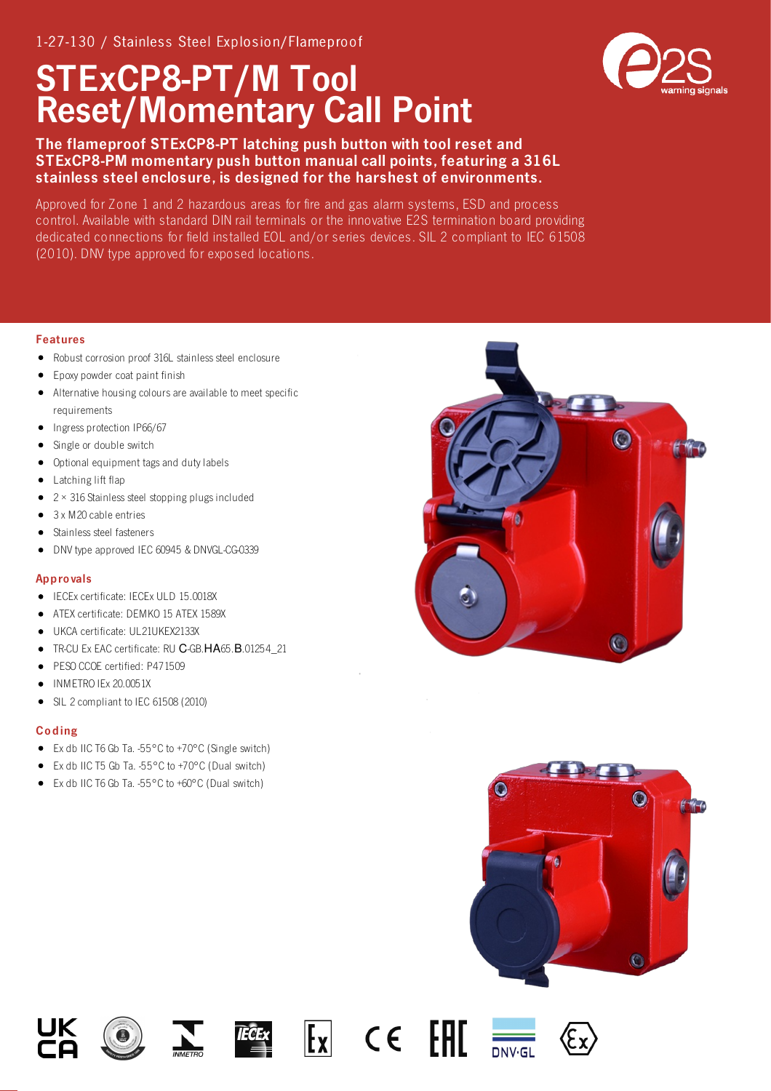## STExCP8-PT/M Tool Reset/Momentary Call Point



Approved for Zone 1 and 2 hazardous areas for fire and gas alarm systems, ESD and process control. Available with standard DIN rail terminals or the innovative E2S termination board providing dedicated connections for field installed EOL and/or series devices. SIL 2 compliant to IEC 61508 (2010). DNV type approved for exposed locations.

## Features

- Robust corrosion proof 316L stainless steel enclosure  $\bullet$
- $\bullet$ Epoxy powder coat paint finish
- Alternative housing colours are available to meet specific requirements
- Ingress protection IP66/67  $\bullet$
- $\bullet$ Single or double switch
- Optional equipment tags and duty labels
- Latching lift flap
- $\bullet$  2 × 316 Stainless steel stopping plugs included
- $\bullet$ 3 x M20 cable entries
- Stainless steel fasteners
- DNV type approved IEC 60945 & DNVGL-CG-0339  $\bullet$

## Appro vals

- IECEx certificate: IECEx ULD 15.0018X
- ATEX certificate: DEMKO 15 ATEX 1589X
- UKCA certificate: UL21UKEX2133X
- TR-CU Ex EAC certificate: RU С-GB.НА65.В.01254\_21
- PESO CCOE certified: P471509
- INMETRO IEx 20.0051X
- $\bullet$ SIL 2 compliant to IEC 61508 (2010)

## Co ding

- Ex db IIC T6 Gb Ta. -55°C to +70°C (Single switch)
- Ex db IIC T5 Gb Ta. -55°C to +70°C (Dual switch)
- Ex db IIC T6 Gb Ta. -55°C to +60°C (Dual switch)



















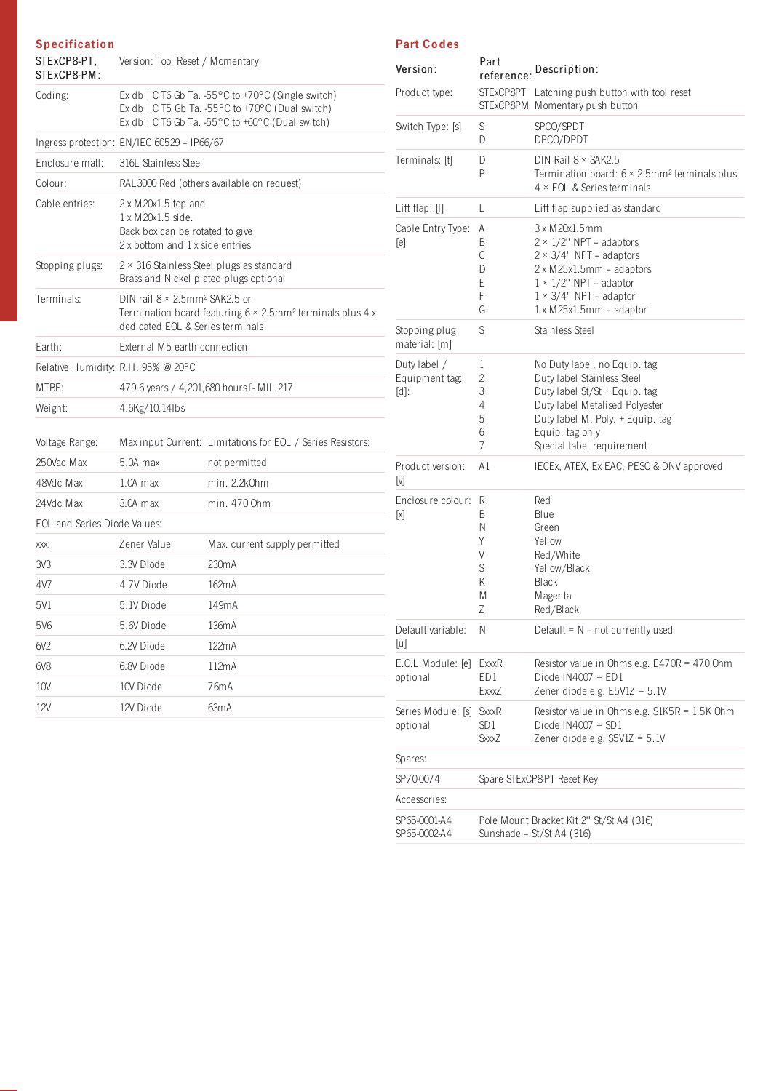| <b>Specification</b><br>STExCP8-PT.<br>STExCP8-PM: | Version: Tool Reset / Momentary                                                                                                                                        |                                                            |  |
|----------------------------------------------------|------------------------------------------------------------------------------------------------------------------------------------------------------------------------|------------------------------------------------------------|--|
| Coding:                                            | Ex db IIC T6 Gb Ta. -55°C to +70°C (Single switch)<br>Ex db IIC T5 Gb Ta. -55°C to +70°C (Dual switch)<br>Ex db IIC T6 Gb Ta. -55°C to +60°C (Dual switch)             |                                                            |  |
|                                                    | Ingress protection: EN/IEC 60529 - IP66/67                                                                                                                             |                                                            |  |
| Enclosure matl:                                    | 316L Stainless Steel                                                                                                                                                   |                                                            |  |
| Colour:                                            | RAL3000 Red (others available on request)                                                                                                                              |                                                            |  |
| Cable entries:                                     | $2 \times M20x1.5$ top and<br>1 x M20x1.5 side.<br>Back box can be rotated to give<br>2 x bottom and 1 x side entries                                                  |                                                            |  |
| Stopping plugs:                                    | $2 \times 316$ Stainless Steel plugs as standard<br>Brass and Nickel plated plugs optional                                                                             |                                                            |  |
| Terminals:                                         | DIN rail $8 \times 2.5$ mm <sup>2</sup> SAK2.5 or<br>Termination board featuring $6 \times 2.5$ mm <sup>2</sup> terminals plus 4 x<br>dedicated EOL & Series terminals |                                                            |  |
| Earth:                                             | External M5 earth connection                                                                                                                                           |                                                            |  |
| Relative Humidity: R.H. 95% @ 20°C                 |                                                                                                                                                                        |                                                            |  |
| MTBF:                                              | 479.6 years / 4,201,680 hours I- MIL 217                                                                                                                               |                                                            |  |
| Weight:                                            | 4.6Kg/10.14lbs                                                                                                                                                         |                                                            |  |
| Voltage Range:                                     |                                                                                                                                                                        | Max input Current: Limitations for EOL / Series Resistors: |  |
| 250Vac Max                                         | 5.0A max                                                                                                                                                               | not permitted                                              |  |
| 48Vdc Max                                          | $1.0A$ max                                                                                                                                                             | min. 2.2k0hm                                               |  |
| 24Vdc Max                                          | 3.0A max                                                                                                                                                               | min. 470 Ohm                                               |  |
| <b>EOL</b> and Series Diode Values:                |                                                                                                                                                                        |                                                            |  |
| XXX:                                               | Zener Value                                                                                                                                                            | Max. current supply permitted                              |  |
| 3V3                                                | 3.3V Diode                                                                                                                                                             | 230mA                                                      |  |
| 4V7                                                | 4.7V Diode                                                                                                                                                             | 162mA                                                      |  |
| 5V1                                                | 5.1V Diode                                                                                                                                                             | 149mA                                                      |  |
| 5V6                                                | 5.6V Diode                                                                                                                                                             | 136mA                                                      |  |
| 6V2                                                | 6.2V Diode                                                                                                                                                             | 122mA                                                      |  |
| 6V8                                                | 6.8V Diode                                                                                                                                                             | 112mA                                                      |  |
| 10V                                                | 10V Diode                                                                                                                                                              | 76mA                                                       |  |
| 12V                                                | 12V Diode                                                                                                                                                              | 63mA                                                       |  |

| Version:                                  | Part<br>reference:                        | Description:                                                                                                                                                                                                           |
|-------------------------------------------|-------------------------------------------|------------------------------------------------------------------------------------------------------------------------------------------------------------------------------------------------------------------------|
| Product type:                             | STExCP8PT                                 | Latching push button with tool reset<br>STExCP8PM Momentary push button                                                                                                                                                |
| Switch Type: [s]                          | S<br>D                                    | SPCO/SPDT<br>DPCO/DPDT                                                                                                                                                                                                 |
| Terminals: [t]                            | D<br>P                                    | DIN Rail $8 \times$ SAK2.5<br>Termination board: $6 \times 2.5$ mm <sup>2</sup> terminals plus<br>$4 \times$ EOL & Series terminals                                                                                    |
| Lift flap: [I]                            | L                                         | Lift flap supplied as standard                                                                                                                                                                                         |
| Cable Entry Type:<br>[e]<br>Χ             | Α<br>B<br>С<br>D<br>Е<br>F<br>G           | 3 x M 20x1.5mm<br>$2 \times 1/2$ " NPT - adaptors<br>$2 \times 3/4$ " NPT - adaptors<br>2 x M25x1.5mm - adaptors<br>$1 \times 1/2$ " NPT - adaptor<br>$1 \times 3/4$ " NPT – adaptor<br>$1 \times M25x1.5mm$ - adaptor |
| Stopping plug<br>material: [m]            | S                                         | Stainless Steel                                                                                                                                                                                                        |
| Duty label /<br>Equipment tag:<br>$[d]$ : | 1<br>2<br>3<br>4<br>5<br>6<br>7           | No Duty label, no Equip. tag<br>Duty label Stainless Steel<br>Duty label St/St + Equip. tag<br>Duty label Metalised Polyester<br>Duty label M. Poly. + Equip. tag<br>Equip. tag only<br>Special label requirement      |
| Product version:<br>ΙM                    | A1                                        | IECEx, ATEX, Ex EAC, PESO & DNV approved                                                                                                                                                                               |
| Enclosure colour:<br>ſхl                  | R<br>B<br>Ν<br>Y<br>V<br>S<br>Κ<br>Μ<br>Ζ | Red<br>Blue<br>Green<br>Yellow<br>Red/White<br>Yellow/Black<br>Black<br>Magenta<br>Red/Black                                                                                                                           |
| Default variable:<br>$[u]$                | Ν                                         | Default = $N - not currently used$                                                                                                                                                                                     |
| E.O.L.Module: [e]<br>optional             | ExxxR<br>ED1<br>ExxxZ                     | Resistor value in Ohms e.g. E470R = 470 Ohm<br>Diode IN4007 = $ED1$<br>Zener diode e.g. E5V1Z = 5.1V                                                                                                                   |
| Series Module: [s]<br>optional            | SxxxR<br>SD 1<br>SxxxZ                    | Resistor value in Ohms e.g. S1K5R = 1.5K Ohm<br>Diode $IN4007 = SD1$<br>Zener diode e.g. $S5V1Z = 5.1V$                                                                                                                |
| Spares:                                   |                                           |                                                                                                                                                                                                                        |
| SP70-0074                                 |                                           | Spare STExCP8-PT Reset Key                                                                                                                                                                                             |
| Accessories:                              |                                           |                                                                                                                                                                                                                        |
| SP65-0001-A4<br>SP65-0002-A4              |                                           | Pole Mount Bracket Kit 2" St/St A4 (316)<br>Sunshade - St/St A4 (316)                                                                                                                                                  |

Part Codes